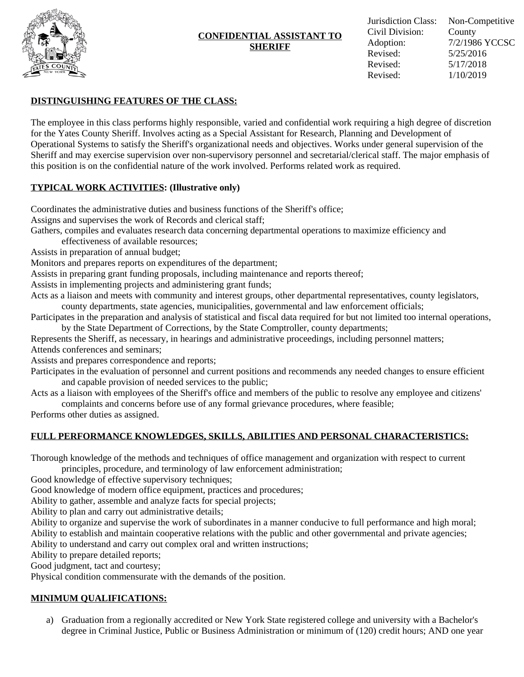

### **CONFIDENTIAL ASSISTANT TO SHERIFF**

# **DISTINGUISHING FEATURES OF THE CLASS:**

The employee in this class performs highly responsible, varied and confidential work requiring a high degree of discretion for the Yates County Sheriff. Involves acting as a Special Assistant for Research, Planning and Development of Operational Systems to satisfy the Sheriff's organizational needs and objectives. Works under general supervision of the Sheriff and may exercise supervision over non-supervisory personnel and secretarial/clerical staff. The major emphasis of this position is on the confidential nature of the work involved. Performs related work as required.

## **TYPICAL WORK ACTIVITIES: (Illustrative only)**

Coordinates the administrative duties and business functions of the Sheriff's office;

- Assigns and supervises the work of Records and clerical staff;
- Gathers, compiles and evaluates research data concerning departmental operations to maximize efficiency and
	- effectiveness of available resources;
- Assists in preparation of annual budget;

Monitors and prepares reports on expenditures of the department;

Assists in preparing grant funding proposals, including maintenance and reports thereof;

Assists in implementing projects and administering grant funds;

Acts as a liaison and meets with community and interest groups, other departmental representatives, county legislators, county departments, state agencies, municipalities, governmental and law enforcement officials;

- Participates in the preparation and analysis of statistical and fiscal data required for but not limited too internal operations, by the State Department of Corrections, by the State Comptroller, county departments;
- Represents the Sheriff, as necessary, in hearings and administrative proceedings, including personnel matters; Attends conferences and seminars;

Assists and prepares correspondence and reports;

- Participates in the evaluation of personnel and current positions and recommends any needed changes to ensure efficient and capable provision of needed services to the public;
- Acts as a liaison with employees of the Sheriff's office and members of the public to resolve any employee and citizens' complaints and concerns before use of any formal grievance procedures, where feasible;

Performs other duties as assigned.

## **FULL PERFORMANCE KNOWLEDGES, SKILLS, ABILITIES AND PERSONAL CHARACTERISTICS:**

Thorough knowledge of the methods and techniques of office management and organization with respect to current

principles, procedure, and terminology of law enforcement administration;

Good knowledge of effective supervisory techniques;

Good knowledge of modern office equipment, practices and procedures;

Ability to gather, assemble and analyze facts for special projects;

Ability to plan and carry out administrative details;

Ability to organize and supervise the work of subordinates in a manner conducive to full performance and high moral; Ability to establish and maintain cooperative relations with the public and other governmental and private agencies; Ability to understand and carry out complex oral and written instructions;

Ability to prepare detailed reports;

Good judgment, tact and courtesy;

Physical condition commensurate with the demands of the position.

## **MINIMUM QUALIFICATIONS:**

a) Graduation from a regionally accredited or New York State registered college and university with a Bachelor's degree in Criminal Justice, Public or Business Administration or minimum of (120) credit hours; AND one year